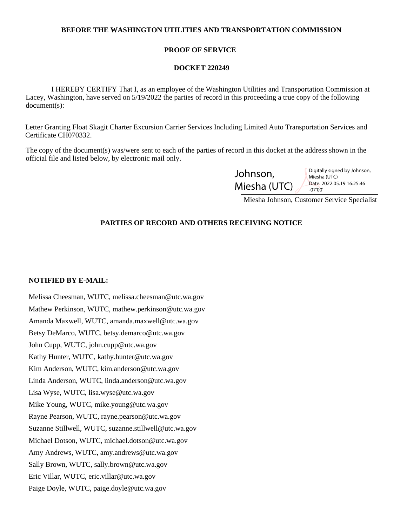## **BEFORE THE WASHINGTON UTILITIES AND TRANSPORTATION COMMISSION**

## **PROOF OF SERVICE**

#### **DOCKET 220249**

 I HEREBY CERTIFY That I, as an employee of the Washington Utilities and Transportation Commission at Lacey, Washington, have served on 5/19/2022 the parties of record in this proceeding a true copy of the following document(s):

Letter Granting Float Skagit Charter Excursion Carrier Services Including Limited Auto Transportation Services and Certificate CH070332.

The copy of the document(s) was/were sent to each of the parties of record in this docket at the address shown in the official file and listed below, by electronic mail only.

| Johnson,     | Digitally signed by Johnson,<br>Miesha (UTC) |
|--------------|----------------------------------------------|
| Miesha (UTC) | Date: 2022.05.19 16:25:46<br>$-07'00'$       |

Miesha Johnson, Customer Service Specialist

# **PARTIES OF RECORD AND OTHERS RECEIVING NOTICE**

#### **NOTIFIED BY E-MAIL:**

Melissa Cheesman, WUTC, melissa.cheesman@utc.wa.gov Mathew Perkinson, WUTC, mathew.perkinson@utc.wa.gov Amanda Maxwell, WUTC, amanda.maxwell@utc.wa.gov Betsy DeMarco, WUTC, betsy.demarco@utc.wa.gov John Cupp, WUTC, john.cupp@utc.wa.gov Kathy Hunter, WUTC, kathy.hunter@utc.wa.gov Kim Anderson, WUTC, kim.anderson@utc.wa.gov Linda Anderson, WUTC, linda.anderson@utc.wa.gov Lisa Wyse, WUTC, lisa.wyse@utc.wa.gov Mike Young, WUTC, mike.young@utc.wa.gov Rayne Pearson, WUTC, rayne.pearson@utc.wa.gov Suzanne Stillwell, WUTC, suzanne.stillwell@utc.wa.gov Michael Dotson, WUTC, michael.dotson@utc.wa.gov Amy Andrews, WUTC, amy.andrews@utc.wa.gov Sally Brown, WUTC, sally.brown@utc.wa.gov Eric Villar, WUTC, eric.villar@utc.wa.gov Paige Doyle, WUTC, paige.doyle@utc.wa.gov